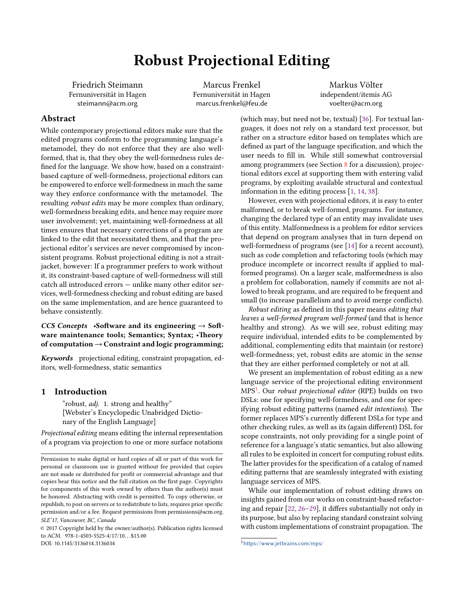# Robust Projectional Editing

Friedrich Steimann Fernuniversität in Hagen steimann@acm.org

Marcus Frenkel Fernuniversität in Hagen marcus.frenkel@feu.de

Markus Völter independent/itemis AG voelter@acm.org

# Abstract

While contemporary projectional editors make sure that the edited programs conform to the programming language's metamodel, they do not enforce that they are also wellformed, that is, that they obey the well-formedness rules de fined for the language. We show how, based on a constraintbased capture of well-formedness, projectional editors can be empowered to enforce well-formedness in much the same way they enforce conformance with the metamodel. The resulting robust edits may be more complex than ordinary, well-formedness breaking edits, and hence may require more user involvement; yet, maintaining well-formedness at all times ensures that necessary corrections of a program are linked to the edit that necessitated them, and that the projectional editor's services are never compromised by inconsistent programs. Robust projectional editing is not a straitjacket, however: If a programmer prefers to work without it, its constraint-based capture of well-formedness will still catch all introduced errors — unlike many other editor services, well-formedness checking and robust editing are based on the same implementation, and are hence guaranteed to behave consistently.

## CCS Concepts •Software and its engineering  $\rightarrow$  Software maintenance tools; Semantics; Syntax; •Theory of computation  $\rightarrow$  Constraint and logic programming;

Keywords projectional editing, constraint propagation, editors, well-formedness, static semantics

## 1 Introduction

"robust, *adj.* 1. strong and healthy" [Webster's Encyclopedic Unabridged Dictionary of the English Language]

Projectional editing means editing the internal representation of a program via projection to one or more surface notations

© 2017 Copyright held by the owner/author(s). Publication rights licensed to ACM. 978-1-4503-5525-4/17/10...\$15.00

DOI: 10.1145/3136014.3136034

(which may, but need not be, textual) [\[36\]](#page-12-0). For textual languages, it does not rely on a standard text processor, but rather on a structure editor based on templates which are defined as part of the language specification, and which the user needs to fill in. While still somewhat controversial among programmers (see Section [8](#page-9-0) for a discussion), projectional editors excel at supporting them with entering valid programs, by exploiting available structural and contextual information in the editing process [\[1,](#page-11-0) [14,](#page-11-1) [38\]](#page-12-1).

However, even with projectional editors, it is easy to enter malformed, or to break well-formed, programs. For instance, changing the declared type of an entity may invalidate uses of this entity. Malformedness is a problem for editor services that depend on program analyses that in turn depend on well-formedness of programs (see [\[14\]](#page-11-1) for a recent account), such as code completion and refactoring tools (which may produce incomplete or incorrect results if applied to malformed programs). On a larger scale, malformedness is also a problem for collaboration, namely if commits are not allowed to break programs, and are required to be frequent and small (to increase parallelism and to avoid merge conflicts).

Robust editing as defined in this paper means editing that leaves a well-formed program well-formed (and that is hence healthy and strong). As we will see, robust editing may require individual, intended edits to be complemented by additional, complementing edits that maintain (or restore) well-formedness; yet, robust edits are atomic in the sense that they are either performed completely or not at all.

We present an implementation of robust editing as a new language service of the projectional editing environment MPS<sup>[1](#page-0-0)</sup>. Our *robust projectional editor* (RPE) builds on two DSLs: one for specifying well-formedness, and one for specifying robust editing patterns (named edit intentions). The former replaces MPS's currently different DSLs for type and other checking rules, as well as its (again different) DSL for scope constraints, not only providing for a single point of reference for a language's static semantics, but also allowing all rules to be exploited in concert for computing robust edits. The latter provides for the specification of a catalog of named editing patterns that are seamlessly integrated with existing language services of MPS.

While our implementation of robust editing draws on insights gained from our works on constraint-based refactoring and repair  $[22, 26-29]$  $[22, 26-29]$  $[22, 26-29]$  $[22, 26-29]$ , it differs substantially not only in its purpose, but also by replacing standard constraint solving with custom implementations of constraint propagation. The

Permission to make digital or hard copies of all or part of this work for personal or classroom use is granted without fee provided that copies are not made or distributed for profit or commercial advantage and that copies bear this notice and the full citation on the first page. Copyrights for components of this work owned by others than the author(s) must be honored. Abstracting with credit is permitted. To copy otherwise, or republish, to post on servers or to redistribute to lists, requires prior specific permission and/or a fee. Request permissions from permissions@acm.org. SLE'17, Vancouver, BC, Canada

<span id="page-0-0"></span><sup>&</sup>lt;sup>1</sup>https://www.jetbrains.com/mps/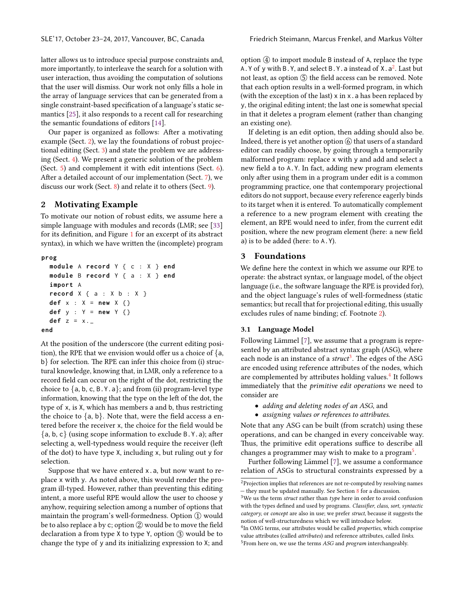latter allows us to introduce special purpose constraints and, more importantly, to interleave the search for a solution with user interaction, thus avoiding the computation of solutions that the user will dismiss. Our work not only fills a hole in the array of language services that can be generated from a single constraint-based specification of a language's static semantics [\[25\]](#page-11-4), it also responds to a recent call for researching the semantic foundations of editors [\[14\]](#page-11-1).

Our paper is organized as follows: After a motivating example (Sect. [2\)](#page-1-0), we lay the foundations of robust projectional editing (Sect. [3\)](#page-1-1) and state the problem we are addressing (Sect. [4\)](#page-3-0). We present a generic solution of the problem (Sect. [5\)](#page-4-0) and complement it with edit intentions (Sect. [6\)](#page-6-0). After a detailed account of our implementation (Sect. [7\)](#page-7-0), we discuss our work (Sect. [8\)](#page-9-0) and relate it to others (Sect. [9\)](#page-10-0).

## <span id="page-1-0"></span>2 Motivating Example

To motivate our notion of robust edits, we assume here a simple language with modules and records (LMR; see [\[33\]](#page-12-3) for its definition, and Figure  $1$  for an excerpt of its abstract syntax), in which we have written the (incomplete) program

#### **prog**

```
module A record Y { c : X } end
  module B record Y { a : X } end
  import A
  record X { a : X b : X }
  def x : X = new X {}
  def y : Y = new Y {}
  def z = x . _
end
```
At the position of the underscore (the current editing position), the RPE that we envision would offer us a choice of  ${a,$ b} for selection. The RPE can infer this choice from (i) structural knowledge, knowing that, in LMR, only a reference to a record field can occur on the right of the dot, restricting the choice to  $\{a, b, c, B. Y. a\}$ ; and from (ii) program-level type information, knowing that the type on the left of the dot, the type of x, is X, which has members a and b, thus restricting the choice to  $\{a, b\}$ . Note that, were the field access a entered before the receiver x, the choice for the field would be  ${a, b, c}$  (using scope information to exclude B.Y.a); after selecting a, well-typedness would require the receiver (le of the dot) to have type X, including x, but ruling out y for selection.

Suppose that we have entered x.a, but now want to replace x with y. As noted above, this would render the program ill-typed. However, rather than preventing this editing intent, a more useful RPE would allow the user to choose y anyhow, requiring selection among a number of options that maintain the program's well-formedness. Option 1 would be to also replace a by c; option  $(2)$  would be to move the field declaration a from type X to type Y, option 3 would be to change the type of y and its initializing expression to X; and

option  $\Phi$  to import module B instead of A, replace the type A. Y of y with B. Y, and select B. Y. a instead of  $X$ .  $a^2$  $a^2$ . Last but not least, as option  $(5)$  the field access can be removed. Note that each option results in a well-formed program, in which (with the exception of the last)  $x$  in  $x$ . a has been replaced by y, the original editing intent; the last one is somewhat special in that it deletes a program element (rather than changing an existing one).

If deleting is an edit option, then adding should also be. Indeed, there is yet another option  $\circledS$  that users of a standard editor can readily choose, by going through a temporarily malformed program: replace x with y and add and select a new field a to A.Y. In fact, adding new program elements only after using them in a program under edit is a common programming practice, one that contemporary projectional editors do not support, because every reference eagerly binds to its target when it is entered. To automatically complement a reference to a new program element with creating the element, an RPE would need to infer, from the current edit position, where the new program element (here: a new field a) is to be added (here: to A.Y).

## <span id="page-1-1"></span>3 Foundations

We define here the context in which we assume our RPE to operate: the abstract syntax, or language model, of the object language (i.e., the software language the RPE is provided for), and the object language's rules of well-formedness (static semantics; but recall that for projectional editing, this usually excludes rules of name binding; cf. Footnote [2\)](#page-1-2).

### <span id="page-1-6"></span>3.1 Language Model

Following Lämmel [[7\]](#page-11-5), we assume that a program is represented by an attributed abstract syntax graph (ASG), where each node is an instance of a struct<sup>[3](#page-1-3)</sup>. The edges of the ASG are encoded using reference attributes of the nodes, which are complemented by attributes holding values.<sup>[4](#page-1-4)</sup> It follows immediately that the primitive edit operations we need to consider are

- adding and deleting nodes of an ASG, and
- assigning values or references to attributes.

Note that any ASG can be built (from scratch) using these operations, and can be changed in every conceivable way. Thus, the primitive edit operations suffice to describe all changes a programmer may wish to make to a program<sup>[5](#page-1-5)</sup>.

Further following Lämmel [[7\]](#page-11-5), we assume a conformance relation of ASGs to structural constraints expressed by a

<span id="page-1-2"></span> $^2\!$  Projection implies that references are not re-computed by resolving names — they must be updated manually. See Section [8](#page-9-0) for a discussion.

<span id="page-1-3"></span> ${}^{3}{\rm We}$  us the term struct rather than type here in order to avoid confusion with the types defined and used by programs. Classifier, class, sort, syntactic category, or concept are also in use; we prefer struct, because it suggests the notion of well-structuredness which we will introduce below.

<span id="page-1-5"></span><span id="page-1-4"></span><sup>&</sup>lt;sup>4</sup>In OMG terms, our attributes would be called properties, which comprise value attributes (called attributes) and reference attributes, called links.  $5$ From here on, we use the terms ASG and program interchangeably.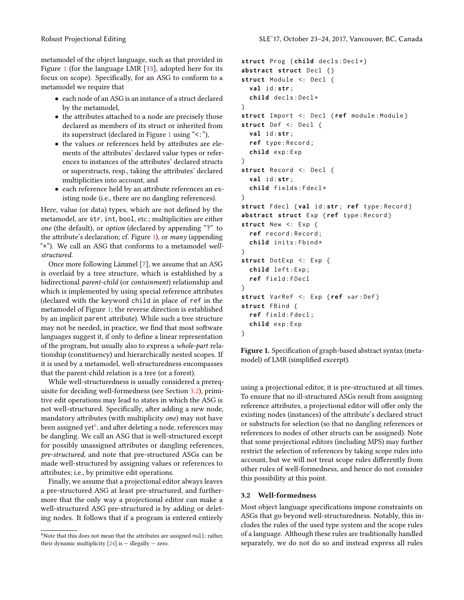- each node of an ASG is an instance of a struct declared by the metamodel,
- $\bullet$  the attributes attached to a node are precisely those declared as members of its struct or inherited from its superstruct (declared in Figure [1](#page-2-0) using "<:"),
- the values or references held by attributes are elements of the attributes' declared value types or references to instances of the attributes' declared structs or superstructs, resp., taking the attributes' declared multiplicities into account, and
- each reference held by an attribute references an existing node (i.e., there are no dangling references).

Here, value (or data) types, which are not defined by the metamodel, are str, int, bool, etc.; multiplicities are either one (the default), or option (declared by appending "?" to the attribute's declaration; cf. Figure [1\)](#page-2-0), or  $many$  (appending "\*"). We call an ASG that conforms to a metamodel wellstructured.

Once more following Lämmel [[7\]](#page-11-5), we assume that an ASG is overlaid by a tree structure, which is established by a bidirectional parent-child (or containment) relationship and which is implemented by using special reference attributes (declared with the keyword child in place of ref in the metamodel of Figure [1;](#page-2-0) the reverse direction is established by an implicit parent attribute). While such a tree structure may not be needed, in practice, we find that most software languages suggest it, if only to define a linear representation of the program, but usually also to express a whole-part relationship (constituency) and hierarchically nested scopes. If it is used by a metamodel, well-structuredness encompasses that the parent-child relation is a tree (or a forest).

While well-structuredness is usually considered a prerequisite for deciding well-formedness (see Section [3.2\)](#page-2-1), primitive edit operations may lead to states in which the ASG is not well-structured. Specifically, after adding a new node, mandatory attributes (with multiplicity *one*) may not have been assigned yet<sup>[6](#page-2-2)</sup>, and after deleting a node, references may be dangling. We call an ASG that is well-structured except for possibly unassigned attributes or dangling references, pre-structured, and note that pre-structured ASGs can be made well-structured by assigning values or references to attributes; i.e., by primitive edit operations.

Finally, we assume that a projectional editor always leaves a pre-structured ASG at least pre-structured, and furthermore that the only way a projectional editor can make a well-structured ASG pre-structured is by adding or deleting nodes. It follows that if a program is entered entirely

```
struct Prog { child decls : Decl *}
abstract struct Decl {}
struct Module <: Decl {
  val id : str;
  child decls : Decl *
}
struct Import <: Decl { ref module : Module }
struct Def <: Decl {
  val id : str;
  ref type : Record ;
  child exp : Exp
}
struct Record <: Decl {
  val id : str;
  child fields : Fdecl *
}
struct Fdecl {val id : str ; ref type : Record }
abstract struct Exp {ref type : Record }
struct New <: Exp {
  ref record : Record ;
  child inits: Fbind*
}
struct DotExp <: Exp {
  child left : Exp ;
  ref field : FDecl
}
struct VarRef <: Exp { ref var : Def }
struct FBind {
  ref field : Fdecl ;
  child exp : Exp
}
```
Figure 1. Specification of graph-based abstract syntax (metamodel) of LMR (simplified excerpt).

using a projectional editor, it is pre-structured at all times. To ensure that no ill-structured ASGs result from assigning reference attributes, a projectional editor will offer only the existing nodes (instances) of the attribute's declared struct or substructs for selection (so that no dangling references or references to nodes of other structs can be assigned). Note that some projectional editors (including MPS) may further restrict the selection of references by taking scope rules into account, but we will not treat scope rules differently from other rules of well-formedness, and hence do not consider this possibility at this point.

#### <span id="page-2-1"></span>3.2 Well-formedness

Most object language specifications impose constraints on ASGs that go beyond well-structuredness. Notably, this includes the rules of the used type system and the scope rules of a language. Although these rules are traditionally handled separately, we do not do so and instead express all rules

<span id="page-2-2"></span> $6$ Note that this does not mean that the attributes are assigned null; rather, their dynamic multiplicity  $[24]$  is  $-$  illegally  $-$  zero.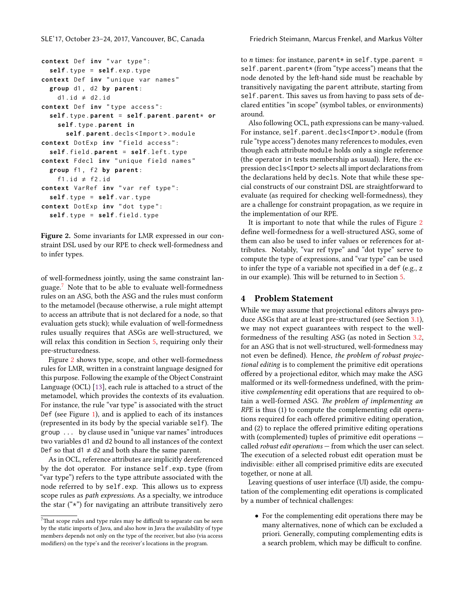<span id="page-3-2"></span>**context** Def **inv** " unique var names " **group** d1 , d2 **by parent** :  $d1$ . id  $\neq$  d2. id **context** Def **inv** " type access ": **self** . type . **parent** = **self** . **parent** . **parent** \* **or self** . type . **parent in self** . **parent** . decls < Import >. module **context** DotExp **inv** " field access ": **self** . field . **parent** = **self** . left . type **context** Fdecl **inv** " unique field names " **group** f1 , f2 **by parent** : f1.id  $\neq$  f2.id **context** VarRef **inv** " var ref type ": **self** . type = **self** . var . type **context** DotExp **inv** " dot type ": **self** . type = **self** . field . type

Figure 2. Some invariants for LMR expressed in our constraint DSL used by our RPE to check well-formedness and to infer types.

of well-formedness jointly, using the same constraint language.[7](#page-3-1) Note that to be able to evaluate well-formedness rules on an ASG, both the ASG and the rules must conform to the metamodel (because otherwise, a rule might attempt to access an attribute that is not declared for a node, so that evaluation gets stuck); while evaluation of well-formedness rules usually requires that ASGs are well-structured, we will relax this condition in Section [5,](#page-4-0) requiring only their pre-structuredness.

Figure [2](#page-3-2) shows type, scope, and other well-formedness rules for LMR, written in a constraint language designed for this purpose. Following the example of the Object Constraint Language (OCL)  $[13]$ , each rule is attached to a struct of the metamodel, which provides the contexts of its evaluation. For instance, the rule "var type" is associated with the struct Def (see Figure [1\)](#page-2-0), and is applied to each of its instances (represented in its body by the special variable self). The group ... by clause used in "unique var names" introduces two variables d1 and d2 bound to all instances of the context Def so that  $d1 \neq d2$  and both share the same parent.

As in OCL, reference attributes are implicitly dereferenced by the dot operator. For instance self.exp.type (from "var type") refers to the type attribute associated with the node referred to by self.exp. This allows us to express scope rules as path expressions. As a specialty, we introduce the star  $(**)$  for navigating an attribute transitively zero

<span id="page-3-1"></span> $^7\mathrm{That}$  scope rules and type rules may be difficult to separate can be seen by the static imports of Java, and also how in Java the availability of type members depends not only on the type of the receiver, but also (via access modifiers) on the type's and the receiver's locations in the program.

to *n* times: for instance, parent\* in self.type.parent = self.parent.parent\* (from "type access") means that the node denoted by the left-hand side must be reachable by transitively navigating the parent attribute, starting from self.parent. This saves us from having to pass sets of declared entities "in scope" (symbol tables, or environments) around.

Also following OCL, path expressions can be many-valued. For instance, self.parent.decls<Import>.module (from rule "type access") denotes many references to modules, even though each attribute module holds only a single reference (the operator in tests membership as usual). Here, the expression decls<Import> selects all import declarations from the declarations held by decls. Note that while these special constructs of our constraint DSL are straightforward to evaluate (as required for checking well-formedness), they are a challenge for constraint propagation, as we require in the implementation of our RPE.

It is important to note that while the rules of Figure [2](#page-3-2) define well-formedness for a well-structured ASG, some of them can also be used to infer values or references for attributes. Notably, "var ref type" and "dot type" serve to compute the type of expressions, and "var type" can be used to infer the type of a variable not specified in a def (e.g., z in our example). This will be returned to in Section [5.](#page-4-0)

# <span id="page-3-0"></span>4 Problem Statement

While we may assume that projectional editors always pro-duce ASGs that are at least pre-structured (see Section [3.1\)](#page-1-6), we may not expect guarantees with respect to the wellformedness of the resulting ASG (as noted in Section [3.2,](#page-2-1) for an ASG that is not well-structured, well-formedness may not even be defined). Hence, the problem of robust projectional editing is to complement the primitive edit operations offered by a projectional editor, which may make the ASG malformed or its well-formedness undefined, with the primitive complementing edit operations that are required to obtain a well-formed ASG. The problem of implementing an RPE is thus (1) to compute the complementing edit operations required for each offered primitive editing operation, and  $(2)$  to replace the offered primitive editing operations with (complemented) tuples of primitive edit operations called robust edit operations — from which the user can select. The execution of a selected robust edit operation must be indivisible: either all comprised primitive edits are executed together, or none at all.

Leaving questions of user interface (UI) aside, the computation of the complementing edit operations is complicated by a number of technical challenges:

• For the complementing edit operations there may be many alternatives, none of which can be excluded a priori. Generally, computing complementing edits is a search problem, which may be difficult to confine.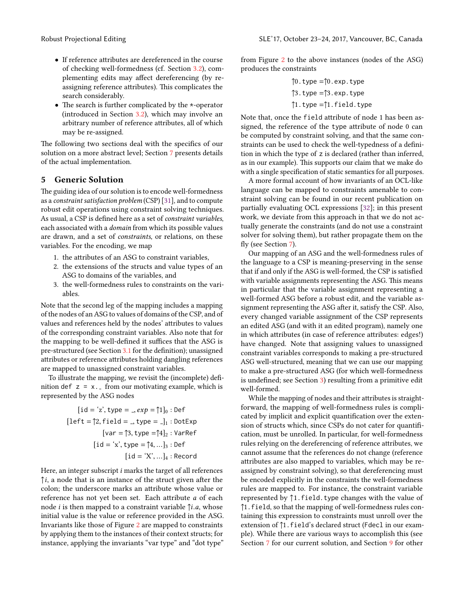- If reference attributes are dereferenced in the course of checking well-formedness (cf. Section [3.2\)](#page-2-1), complementing edits may affect dereferencing (by reassigning reference attributes). This complicates the search considerably.
- The search is further complicated by the  $*$ -operator (introduced in Section [3.2\)](#page-2-1), which may involve an arbitrary number of reference attributes, all of which may be re-assigned.

The following two sections deal with the specifics of our solution on a more abstract level; Section [7](#page-7-0) presents details of the actual implementation.

## <span id="page-4-0"></span>5 Generic Solution

The guiding idea of our solution is to encode well-formedness as a constraint satisfaction problem (CSP) [\[31\]](#page-12-4), and to compute robust edit operations using constraint solving techniques. As usual, a CSP is defined here as a set of constraint variables, each associated with a domain from which its possible values are drawn, and a set of constraints, or relations, on these variables. For the encoding, we map

- 1. the attributes of an ASG to constraint variables,
- 2. the extensions of the structs and value types of an ASG to domains of the variables, and
- 3. the well-formedness rules to constraints on the variables.

Note that the second leg of the mapping includes a mapping of the nodes of an ASG to values of domains of the CSP, and of values and references held by the nodes' attributes to values of the corresponding constraint variables. Also note that for the mapping to be well-defined it suffices that the ASG is pre-structured (see Section [3.1](#page-1-6) for the definition); unassigned attributes or reference attributes holding dangling references are mapped to unassigned constraint variables.

To illustrate the mapping, we revisit the (incomplete) definition def  $z = x$ . from our motivating example, which is represented by the ASG nodes

$$
[\text{id} = 'z', \text{type} = \_, exp = \uparrow 1]_0 : \text{Def}
$$
\n
$$
[\text{left} = \uparrow 2, \text{field} = \_, \text{type} = \_]_1 : \text{DotExp}
$$
\n
$$
[\text{var} = \uparrow 3, \text{type} = \uparrow 4]_2 : \text{VarRef}
$$
\n
$$
[\text{id} = 'x', \text{type} = \uparrow 4, \dots]_3 : \text{Def}
$$
\n
$$
[\text{id} = 'X', \dots]_4 : \text{Record}
$$

Here, an integer subscript i marks the target of all references  $\uparrow i$ , a node that is an instance of the struct given after the colon; the underscore marks an attribute whose value or reference has not yet been set. Each attribute a of each node *i* is then mapped to a constraint variable  $\uparrow$ *i.a*, whose initial value is the value or reference provided in the ASG. Invariants like those of Figure [2](#page-3-2) are mapped to constraints by applying them to the instances of their context structs; for instance, applying the invariants "var type" and "dot type"

from Figure [2](#page-3-2) to the above instances (nodes of the ASG) produces the constraints

$$
\uparrow 0.\text{type} = \uparrow 0.\text{exp}.\text{type}
$$

$$
\uparrow 3.\text{type} = \uparrow 3.\text{exp}.\text{type}
$$

$$
\uparrow 1.\text{type} = \uparrow 1.\text{field}.\text{type}
$$

Note that, once the field attribute of node 1 has been assigned, the reference of the type attribute of node 0 can be computed by constraint solving, and that the same constraints can be used to check the well-typedness of a definition in which the type of z is declared (rather than inferred, as in our example). This supports our claim that we make do with a single specification of static semantics for all purposes.

A more formal account of how invariants of an OCL-like language can be mapped to constraints amenable to constraint solving can be found in our recent publication on partially evaluating OCL expressions [\[32\]](#page-12-5); in this present work, we deviate from this approach in that we do not actually generate the constraints (and do not use a constraint solver for solving them), but rather propagate them on the fly (see Section [7\)](#page-7-0).

Our mapping of an ASG and the well-formedness rules of the language to a CSP is meaning-preserving in the sense that if and only if the ASG is well-formed, the CSP is satisfied with variable assignments representing the ASG. This means in particular that the variable assignment representing a well-formed ASG before a robust edit, and the variable assignment representing the ASG after it, satisfy the CSP. Also, every changed variable assignment of the CSP represents an edited ASG (and with it an edited program), namely one in which attributes (in case of reference attributes: edges!) have changed. Note that assigning values to unassigned constraint variables corresponds to making a pre-structured ASG well-structured, meaning that we can use our mapping to make a pre-structured ASG (for which well-formedness is undefined; see Section [3\)](#page-1-1) resulting from a primitive edit well-formed.

While the mapping of nodes and their attributes is straightforward, the mapping of well-formedness rules is complicated by implicit and explicit quantification over the extension of structs which, since CSPs do not cater for quantification, must be unrolled. In particular, for well-formedness rules relying on the dereferencing of reference attributes, we cannot assume that the references do not change (reference attributes are also mapped to variables, which may be reassigned by constraint solving), so that dereferencing must be encoded explicitly in the constraints the well-formedness rules are mapped to. For instance, the constraint variable represented by ↑1.field.type changes with the value of ↑1.field, so that the mapping of well-formedness rules containing this expression to constraints must unroll over the extension of ↑1.field's declared struct (Fdecl in our example). While there are various ways to accomplish this (see Section [7](#page-7-0) for our current solution, and Section [9](#page-10-0) for other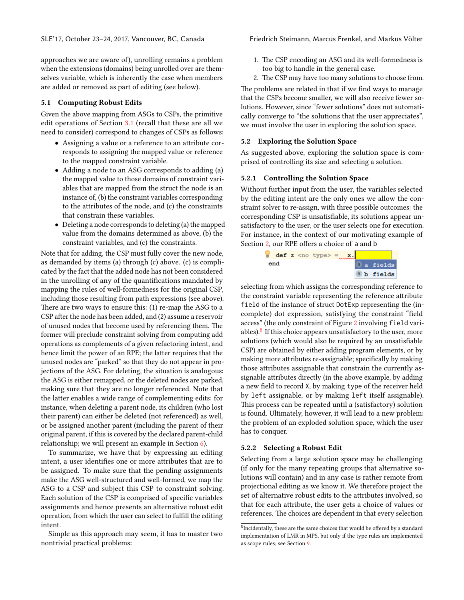approaches we are aware of), unrolling remains a problem when the extensions (domains) being unrolled over are themselves variable, which is inherently the case when members are added or removed as part of editing (see below).

## <span id="page-5-2"></span>5.1 Computing Robust Edits

Given the above mapping from ASGs to CSPs, the primitive edit operations of Section [3.1](#page-1-6) (recall that these are all we need to consider) correspond to changes of CSPs as follows:

- Assigning a value or a reference to an attribute corresponds to assigning the mapped value or reference to the mapped constraint variable.
- Adding a node to an ASG corresponds to adding (a) the mapped value to those domains of constraint variables that are mapped from the struct the node is an instance of, (b) the constraint variables corresponding to the attributes of the node, and (c) the constraints that constrain these variables.
- Deleting a node corresponds to deleting (a) the mapped value from the domains determined as above, (b) the constraint variables, and (c) the constraints.

Note that for adding, the CSP must fully cover the new node, as demanded by items (a) through (c) above. (c) is complicated by the fact that the added node has not been considered in the unrolling of any of the quantifications mandated by mapping the rules of well-formedness for the original CSP, including those resulting from path expressions (see above). There are two ways to ensure this:  $(1)$  re-map the ASG to a CSP after the node has been added, and (2) assume a reservoir of unused nodes that become used by referencing them. The former will preclude constraint solving from computing add operations as complements of a given refactoring intent, and hence limit the power of an RPE; the latter requires that the unused nodes are "parked" so that they do not appear in projections of the ASG. For deleting, the situation is analogous: the ASG is either remapped, or the deleted nodes are parked, making sure that they are no longer referenced. Note that the latter enables a wide range of complementing edits: for instance, when deleting a parent node, its children (who lost their parent) can either be deleted (not referenced) as well, or be assigned another parent (including the parent of their original parent, if this is covered by the declared parent-child relationship; we will present an example in Section [6\)](#page-6-0).

To summarize, we have that by expressing an editing intent, a user identifies one or more attributes that are to be assigned. To make sure that the pending assignments make the ASG well-structured and well-formed, we map the ASG to a CSP and subject this CSP to constraint solving. Each solution of the CSP is comprised of specific variables assignments and hence presents an alternative robust edit operation, from which the user can select to fulll the editing intent.

Simple as this approach may seem, it has to master two nontrivial practical problems:

- 1. The CSP encoding an ASG and its well-formedness is too big to handle in the general case.
- 2. The CSP may have too many solutions to choose from.

The problems are related in that if we find ways to manage that the CSPs become smaller, we will also receive fewer solutions. However, since "fewer solutions" does not automatically converge to "the solutions that the user appreciates", we must involve the user in exploring the solution space.

### 5.2 Exploring the Solution Space

As suggested above, exploring the solution space is comprised of controlling its size and selecting a solution.

#### <span id="page-5-1"></span>5.2.1 Controlling the Solution Space

Without further input from the user, the variables selected by the editing intent are the only ones we allow the constraint solver to re-assign, with three possible outcomes: the corresponding CSP is unsatisfiable, its solutions appear unsatisfactory to the user, or the user selects one for execution. For instance, in the context of our motivating example of Section [2,](#page-1-0) our RPE offers a choice of a and b



selecting from which assigns the corresponding reference to the constraint variable representing the reference attribute field of the instance of struct DotExp representing the (incomplete) dot expression, satisfying the constraint "field access" (the only constraint of Figure [2](#page-3-2) involving field vari-ables).<sup>[8](#page-5-0)</sup> If this choice appears unsatisfactory to the user, more solutions (which would also be required by an unsatisfiable CSP) are obtained by either adding program elements, or by making more attributes re-assignable; specifically by making those attributes assignable that constrain the currently assignable attributes directly (in the above example, by adding a new field to record X, by making type of the receiver held by left assignable, or by making left itself assignable). This process can be repeated until a (satisfactory) solution is found. Ultimately, however, it will lead to a new problem: the problem of an exploded solution space, which the user has to conquer.

#### <span id="page-5-3"></span>5.2.2 Selecting a Robust Edit

Selecting from a large solution space may be challenging (if only for the many repeating groups that alternative solutions will contain) and in any case is rather remote from projectional editing as we know it. We therefore project the set of alternative robust edits to the attributes involved, so that for each attribute, the user gets a choice of values or references. The choices are dependent in that every selection

<span id="page-5-0"></span><sup>&</sup>lt;sup>8</sup> Incidentally, these are the same choices that would be offered by a standard implementation of LMR in MPS, but only if the type rules are implemented as scope rules; see Section [9.](#page-10-0)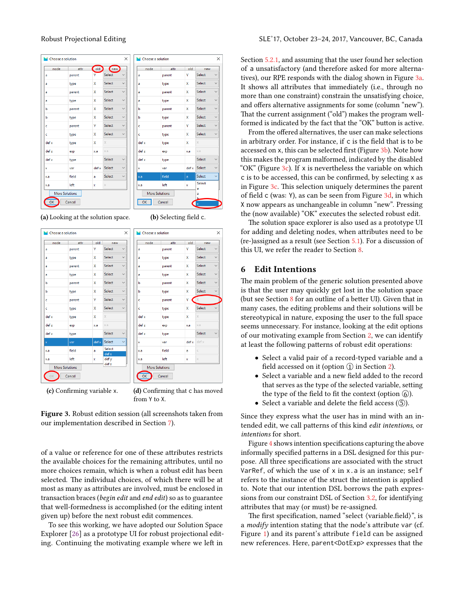<span id="page-6-1"></span>

| X<br>Choose a solution |        |       |               |              | Choose a solution     |        |              |
|------------------------|--------|-------|---------------|--------------|-----------------------|--------|--------------|
| node                   | attr   | old   | (new)         |              | node                  | attr   | old          |
| a                      | parent | Y     | <b>Select</b> | $\checkmark$ | a                     | parent | Y            |
| a                      | type   | x     | Select        | $\checkmark$ | a                     | type   | x            |
| a                      | parent | X     | Select        | $\checkmark$ | a                     | parent | x            |
| a                      | type   | x     | <b>Select</b> | $\checkmark$ | a                     | type   | x            |
| b                      | parent | X     | <b>Select</b> | $\checkmark$ | ь                     | parent | X            |
| b                      | type   | x     | Select        | $\checkmark$ | ь                     | type   | X            |
| c                      | parent | Y     | <b>Select</b> | $\checkmark$ | c                     | parent | Ÿ            |
| ċ                      | type   | x     | Select        | $\checkmark$ | c                     | type   | x            |
| def x                  | type   | X     | $\times$      |              | def x                 | type   | x            |
| def z                  | exp    | x.a   | Ka            |              | def z                 | exp    | x.a          |
| def z                  | type   |       | Select        | $\checkmark$ | def z                 | type   |              |
| x                      | var    | def x | Select        | $\checkmark$ | x                     | var    | def x        |
| x.a                    | field  | a     | Select        | $\checkmark$ | x.a                   | field  | a            |
| x.a                    | left   | x     | $\times$      |              | x.a                   | left   | $\mathbf{x}$ |
| <b>More Solutions</b>  |        |       |               |              | <b>More Solutions</b> |        |              |
| OK<br>Cancel<br>Cancel |        |       |               |              |                       |        |              |

(a) Looking at the solution space.  $(b)$  Selecting field c.

 $\times$ 

new Select Select Select Select Select Select Select

Select Select Select Select

 $\times$ 



(c) Confirming variable x. (d) Confirming that c has moved from Y to X.

Figure 3. Robust edition session (all screenshots taken from our implementation described in Section [7\)](#page-7-0).

of a value or reference for one of these attributes restricts the available choices for the remaining attributes, until no more choices remain, which is when a robust edit has been selected. The individual choices, of which there will be at most as many as attributes are involved, must be enclosed in transaction braces (begin edit and end edit) so as to guarantee that well-formedness is accomplished (or the editing intent given up) before the next robust edit commences.

To see this working, we have adopted our Solution Space Explorer [\[26\]](#page-11-3) as a prototype UI for robust projectional editing. Continuing the motivating example where we left in

Section [5.2.1,](#page-5-1) and assuming that the user found her selection of a unsatisfactory (and therefore asked for more alternatives), our RPE responds with the dialog shown in Figure [3a.](#page-6-1) It shows all attributes that immediately (i.e., through no more than one constraint) constrain the unsatisfying choice, and offers alternative assignments for some (column "new"). That the current assignment ("old") makes the program wellformed is indicated by the fact that the "OK" button is active.

From the offered alternatives, the user can make selections in arbitrary order. For instance, if c is the field that is to be accessed on  $x$ , this can be selected first (Figure  $3b$ ). Note how this makes the program malformed, indicated by the disabled "OK" (Figure  $3c$ ). If x is nevertheless the variable on which c is to be accessed, this can be confirmed, by selecting x as in Figure [3c.](#page-6-1) This selection uniquely determines the parent of field c (was: Y), as can be seen from Figure  $3d$ , in which X now appears as unchangeable in column "new". Pressing the (now available) "OK" executes the selected robust edit.

The solution space explorer is also used as a prototype UI for adding and deleting nodes, when attributes need to be (re-)assigned as a result (see Section [5.1\)](#page-5-2). For a discussion of this UI, we refer the reader to Section [8.](#page-9-0)

## <span id="page-6-0"></span>6 Edit Intentions

The main problem of the generic solution presented above is that the user may quickly get lost in the solution space (but see Section  $8$  for an outline of a better UI). Given that in many cases, the editing problems and their solutions will be stereotypical in nature, exposing the user to the full space seems unnecessary. For instance, looking at the edit options of our motivating example from Section [2,](#page-1-0) we can identify at least the following patterns of robust edit operations:

- Select a valid pair of a record-typed variable and a field accessed on it (option  $\textcircled{1}$  in Section [2\)](#page-1-0).
- Select a variable and a new field added to the record that serves as the type of the selected variable, setting the type of the field to fit the context (option  $\circledS$ ).
- Select a variable and delete the field access  $(5)$ .

Since they express what the user has in mind with an intended edit, we call patterns of this kind edit intentions, or intentions for short.

Figure [4](#page-7-1) shows intention specifications capturing the above informally specified patterns in a DSL designed for this purpose. All three specifications are associated with the struct VarRef, of which the use of x in x.a is an instance; self refers to the instance of the struct the intention is applied to. Note that our intention DSL borrows the path expressions from our constraint DSL of Section [3.2,](#page-2-1) for identifying attributes that may (or must) be re-assigned.

The first specification, named "select (variable.field)", is a modify intention stating that the node's attribute var (cf. Figure [1\)](#page-2-0) and its parent's attribute field can be assigned new references. Here, parent<DotExp> expresses that the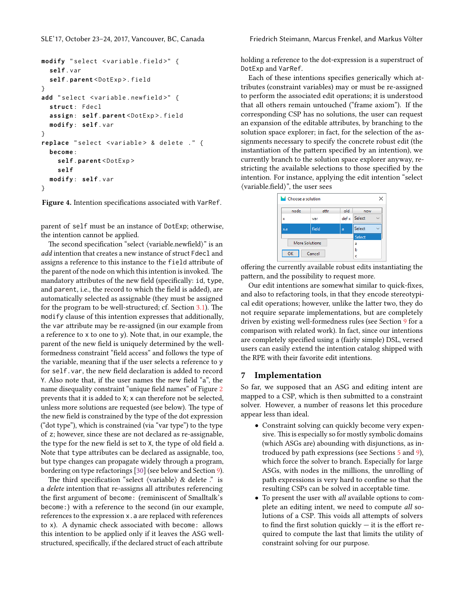```
modify " select < variable . field >" {
  self . var
  self .parent < DotExp >. field
}
add " select < variable . newfield >" {
  struct : Fdecl
  assign : self . parent < DotExp >. field
  modify : self . var
}
replace "select <variable> & delete ." {
  become :
    self .parent < DotExp >
    self
  modify : self . var
}
```
Figure 4. Intention specifications associated with VarRef.

parent of self must be an instance of DotExp; otherwise, the intention cannot be applied.

The second specification "select  $\langle$  variable.newfield $\rangle$ " is an add intention that creates a new instance of struct Fdecl and assigns a reference to this instance to the field attribute of the parent of the node on which this intention is invoked. The mandatory attributes of the new field (specifically: id, type, and parent, i.e., the record to which the field is added), are automatically selected as assignable (they must be assigned for the program to be well-structured; cf. Section  $3.1$ ). The modify clause of this intention expresses that additionally, the var attribute may be re-assigned (in our example from a reference to x to one to y). Note that, in our example, the parent of the new field is uniquely determined by the wellformedness constraint "field access" and follows the type of the variable, meaning that if the user selects a reference to y for self.var, the new field declaration is added to record Y. Also note that, if the user names the new field "a", the name disequality constraint "unique field names" of Figure [2](#page-3-2) prevents that it is added to X; x can therefore not be selected, unless more solutions are requested (see below). The type of the new field is constrained by the type of the dot expression ("dot type"), which is constrained (via "var type") to the type of z; however, since these are not declared as re-assignable, the type for the new field is set to  $X$ , the type of old field a. Note that type attributes can be declared as assignable, too, but type changes can propagate widely through a program, bordering on type refactorings [\[30\]](#page-12-6) (see below and Section [9\)](#page-10-0).

The third specification "select  $\langle$  variable $\rangle \&$  delete  $\therefore$  is a *delete* intention that re-assigns all attributes referencing the first argument of become: (reminiscent of Smalltalk's become:) with a reference to the second (in our example, references to the expression x. a are replaced with references to x). A dynamic check associated with become: allows this intention to be applied only if it leaves the ASG wellstructured, specifically, if the declared struct of each attribute

holding a reference to the dot-expression is a superstruct of DotExp and VarRef.

Each of these intentions specifies generically which attributes (constraint variables) may or must be re-assigned to perform the associated edit operations; it is understood that all others remain untouched ("frame axiom"). If the corresponding CSP has no solutions, the user can request an expansion of the editable attributes, by branching to the solution space explorer; in fact, for the selection of the assignments necessary to specify the concrete robust edit (the instantiation of the pattern specified by an intention), we currently branch to the solution space explorer anyway, restricting the available selections to those specified by the intention. For instance, applying the edit intention "select (variable.field)", the user sees



offering the currently available robust edits instantiating the pattern, and the possibility to request more.

Our edit intentions are somewhat similar to quick-fixes, and also to refactoring tools, in that they encode stereotypical edit operations; however, unlike the latter two, they do not require separate implementations, but are completely driven by existing well-formedness rules (see Section [9](#page-10-0) for a comparison with related work). In fact, since our intentions are completely specified using a (fairly simple) DSL, versed users can easily extend the intention catalog shipped with the RPE with their favorite edit intentions.

## <span id="page-7-0"></span>7 Implementation

So far, we supposed that an ASG and editing intent are mapped to a CSP, which is then submitted to a constraint solver. However, a number of reasons let this procedure appear less than ideal.

- Constraint solving can quickly become very expensive. This is especially so for mostly symbolic domains (which ASGs are) abounding with disjunctions, as introduced by path expressions (see Sections [5](#page-4-0) and [9\)](#page-10-0), which force the solver to branch. Especially for large ASGs, with nodes in the millions, the unrolling of path expressions is very hard to confine so that the resulting CSPs can be solved in acceptable time.
- To present the user with *all* available options to complete an editing intent, we need to compute all solutions of a CSP. This voids all attempts of solvers to find the first solution quickly  $-$  it is the effort required to compute the last that limits the utility of constraint solving for our purpose.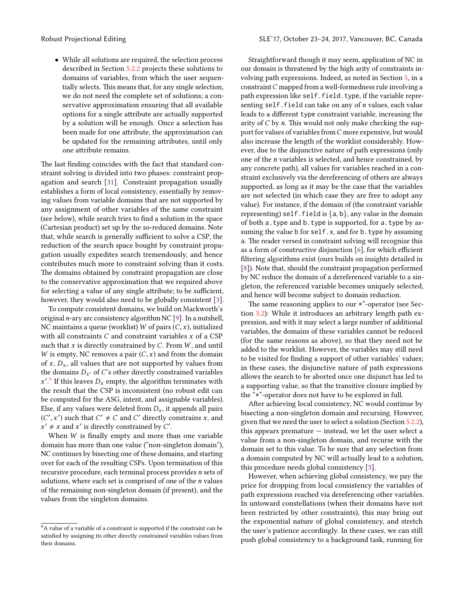• While all solutions are required, the selection process described in Section [5.2.2](#page-5-3) projects these solutions to domains of variables, from which the user sequentially selects. This means that, for any single selection, we do not need the complete set of solutions; a conservative approximation ensuring that all available options for a single attribute are actually supported by a solution will be enough. Once a selection has been made for one attribute, the approximation can be updated for the remaining attributes, until only one attribute remains.

The last finding coincides with the fact that standard constraint solving is divided into two phases: constraint propagation and search [\[31\]](#page-12-4). Constraint propagation usually establishes a form of local consistency, essentially by removing values from variable domains that are not supported by any assignment of other variables of the same constraint (see below), while search tries to find a solution in the space (Cartesian product) set up by the so-reduced domains. Note that, while search is generally sufficient to solve a CSP, the reduction of the search space bought by constraint propagation usually expedites search tremendously, and hence contributes much more to constraint solving than it costs. The domains obtained by constraint propagation are close to the conservative approximation that we required above for selecting a value of any single attribute; to be sufficient, however, they would also need to be globally consistent [\[3\]](#page-11-8).

To compute consistent domains, we build on Mackworth's original n-ary arc consistency algorithm NC [\[9\]](#page-11-9). In a nutshell, NC maintains a queue (worklist) W of pairs  $(C, x)$ , initialized with all constraints  $C$  and constraint variables  $x$  of a CSP such that  $x$  is directly constrained by  $C$ . From  $W$ , and until W is empty, NC removes a pair  $(C, x)$  and from the domain of x,  $D_x$ , all values that are not supported by values from the domains  $D_{x'}$  of  $C$ 's other directly constrained variables  $x'.$  If this leaves  $D_x$  empty, the algorithm terminates with the result that the CSP is inconsistent (no robust edit can be computed for the ASG, intent, and assignable variables). Else, if any values were deleted from  $D_x$ , it appends all pairs  $(C', x')$  such that  $C' \neq C$  and  $C'$  directly constrains x, and  $x' + x$  and  $x'$  is directly constrained by  $C'$  $x' \neq x$  and  $x'$  is directly constrained by C'.

When  $W$  is finally empty and more than one variable domain has more than one value ("non-singleton domain"), NC continues by bisecting one of these domains, and starting over for each of the resulting CSPs. Upon termination of this recursive procedure, each terminal process provides n sets of solutions, where each set is comprised of one of the n values of the remaining non-singleton domain (if present), and the values from the singleton domains.

Straightforward though it may seem, application of NC in our domain is threatened by the high arity of constraints involving path expressions. Indeed, as noted in Section [5,](#page-4-0) in a constraint  $C$  mapped from a well-formedness rule involving a path expression like self.field.type, if the variable representing self. field can take on any of  $n$  values, each value leads to a different type constraint variable, increasing the arity of  $C$  by  $n$ . This would not only make checking the support for values of variables fromC more expensive, but would also increase the length of the worklist considerably. However, due to the disjunctive nature of path expressions (only one of the n variables is selected, and hence constrained, by any concrete path), all values for variables reached in a constraint exclusively via the dereferencing of others are always supported, as long as it may be the case that the variables are not selected (in which case they are free to adopt any value). For instance, if the domain of (the constraint variable representing) self. field is  $\{a, b\}$ , any value in the domain of both a.type and b.type is supported, for a.type by assuming the value b for self.x, and for b.type by assuming a. The reader versed in constraint solving will recognize this as a form of constructive disjunction  $[6]$ , for which efficient filtering algorithms exist (ours builds on insights detailed in [\[8\]](#page-11-11)). Note that, should the constraint propagation performed by NC reduce the domain of a dereferenced variable to a singleton, the referenced variable becomes uniquely selected, and hence will become subject to domain reduction.

The same reasoning applies to our  $*$ "-operator (see Section [3.2\)](#page-2-1): While it introduces an arbitrary length path expression, and with it may select a large number of additional variables, the domains of these variables cannot be reduced (for the same reasons as above), so that they need not be added to the worklist. However, the variables may still need to be visited for finding a support of other variables' values; in these cases, the disjunctive nature of path expressions allows the search to be aborted once one disjunct has led to a supporting value, so that the transitive closure implied by the "\*"-operator does not have to be explored in full.

After achieving local consistency, NC would continue by bisecting a non-singleton domain and recursing. However, given that we need the user to select a solution (Section [5.2.2\)](#page-5-3), this appears premature  $-$  instead, we let the user select a value from a non-singleton domain, and recurse with the domain set to this value. To be sure that any selection from a domain computed by NC will actually lead to a solution, this procedure needs global consistency [\[3\]](#page-11-8).

However, when achieving global consistency, we pay the price for dropping from local consistency the variables of path expressions reached via dereferencing other variables. In untoward constellations (when their domains have not been restricted by other constraints), this may bring out the exponential nature of global consistency, and stretch the user's patience accordingly. In these cases, we can still push global consistency to a background task, running for

<span id="page-8-0"></span><sup>&</sup>lt;sup>9</sup>A value of a variable of a constraint is supported if the constraint can be satisfied by assigning its other directly constrained variables values from their domains.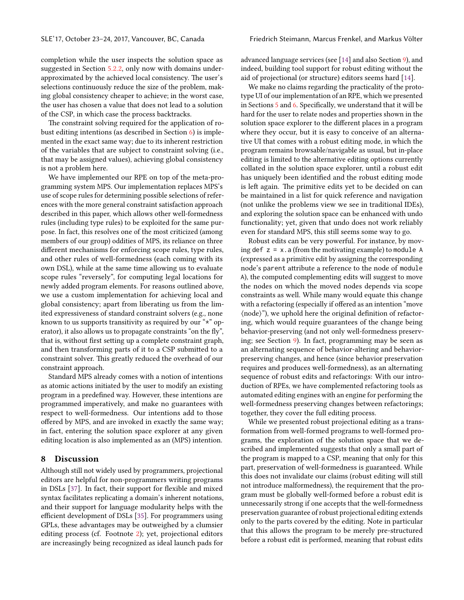completion while the user inspects the solution space as suggested in Section [5.2.2,](#page-5-3) only now with domains underapproximated by the achieved local consistency. The user's selections continuously reduce the size of the problem, making global consistency cheaper to achieve; in the worst case, the user has chosen a value that does not lead to a solution of the CSP, in which case the process backtracks.

The constraint solving required for the application of robust editing intentions (as described in Section [6\)](#page-6-0) is implemented in the exact same way; due to its inherent restriction of the variables that are subject to constraint solving (i.e., that may be assigned values), achieving global consistency is not a problem here.

We have implemented our RPE on top of the meta-programming system MPS. Our implementation replaces MPS's use of scope rules for determining possible selections of references with the more general constraint satisfaction approach described in this paper, which allows other well-formedness rules (including type rules) to be exploited for the same purpose. In fact, this resolves one of the most criticized (among members of our group) oddities of MPS, its reliance on three different mechanisms for enforcing scope rules, type rules, and other rules of well-formedness (each coming with its own DSL), while at the same time allowing us to evaluate scope rules "reversely", for computing legal locations for newly added program elements. For reasons outlined above, we use a custom implementation for achieving local and global consistency; apart from liberating us from the limited expressiveness of standard constraint solvers (e.g., none known to us supports transitivity as required by our "\*" operator), it also allows us to propagate constraints "on the fly", that is, without first setting up a complete constraint graph, and then transforming parts of it to a CSP submitted to a constraint solver. This greatly reduced the overhead of our constraint approach.

Standard MPS already comes with a notion of intentions as atomic actions initiated by the user to modify an existing program in a predefined way. However, these intentions are programmed imperatively, and make no guarantees with respect to well-formedness. Our intentions add to those offered by MPS, and are invoked in exactly the same way; in fact, entering the solution space explorer at any given editing location is also implemented as an (MPS) intention.

## <span id="page-9-0"></span>8 Discussion

Although still not widely used by programmers, projectional editors are helpful for non-programmers writing programs in DSLs [\[37\]](#page-12-7). In fact, their support for flexible and mixed syntax facilitates replicating a domain's inherent notations, and their support for language modularity helps with the efficient development of DSLs [\[35\]](#page-12-8). For programmers using GPLs, these advantages may be outweighed by a clumsier editing process (cf. Footnote [2\)](#page-1-2); yet, projectional editors are increasingly being recognized as ideal launch pads for

advanced language services (see [\[14\]](#page-11-1) and also Section [9\)](#page-10-0), and indeed, building tool support for robust editing without the aid of projectional (or structure) editors seems hard [\[14\]](#page-11-1).

We make no claims regarding the practicality of the prototype UI of our implementation of an RPE, which we presented in Sections  $5$  and  $6$ . Specifically, we understand that it will be hard for the user to relate nodes and properties shown in the solution space explorer to the different places in a program where they occur, but it is easy to conceive of an alternative UI that comes with a robust editing mode, in which the program remains browsable/navigable as usual, but in-place editing is limited to the alternative editing options currently collated in the solution space explorer, until a robust edit has uniquely been identified and the robust editing mode is left again. The primitive edits yet to be decided on can be maintained in a list for quick reference and navigation (not unlike the problems view we see in traditional IDEs), and exploring the solution space can be enhanced with undo functionality; yet, given that undo does not work reliably even for standard MPS, this still seems some way to go.

Robust edits can be very powerful. For instance, by moving def  $z = x$ . a (from the motivating example) to module A (expressed as a primitive edit by assigning the corresponding node's parent attribute a reference to the node of module A), the computed complementing edits will suggest to move the nodes on which the moved nodes depends via scope constraints as well. While many would equate this change with a refactoring (especially if offered as an intention "move  $\langle$  node $\rangle$ "), we uphold here the original definition of refactoring, which would require guarantees of the change being behavior-preserving (and not only well-formedness preserving; see Section [9\)](#page-10-0). In fact, programming may be seen as an alternating sequence of behavior-altering and behaviorpreserving changes, and hence (since behavior preservation requires and produces well-formedness), as an alternating sequence of robust edits and refactorings: With our introduction of RPEs, we have complemented refactoring tools as automated editing engines with an engine for performing the well-formedness preserving changes between refactorings; together, they cover the full editing process.

While we presented robust projectional editing as a transformation from well-formed programs to well-formed programs, the exploration of the solution space that we described and implemented suggests that only a small part of the program is mapped to a CSP, meaning that only for this part, preservation of well-formedness is guaranteed. While this does not invalidate our claims (robust editing will still not introduce malformedness), the requirement that the program must be globally well-formed before a robust edit is unnecessarily strong if one accepts that the well-formedness preservation guarantee of robust projectional editing extends only to the parts covered by the editing. Note in particular that this allows the program to be merely pre-structured before a robust edit is performed, meaning that robust edits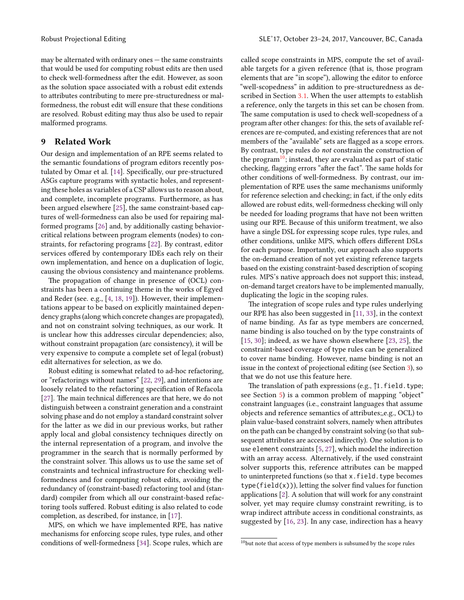may be alternated with ordinary ones — the same constraints that would be used for computing robust edits are then used to check well-formedness after the edit. However, as soon as the solution space associated with a robust edit extends to attributes contributing to mere pre-structuredness or malformedness, the robust edit will ensure that these conditions are resolved. Robust editing may thus also be used to repair

## <span id="page-10-0"></span>9 Related Work

malformed programs.

Our design and implementation of an RPE seems related to the semantic foundations of program editors recently pos-tulated by Omar et al. [\[14\]](#page-11-1). Specifically, our pre-structured ASGs capture programs with syntactic holes, and representing these holes as variables of a CSP allows us to reason about, and complete, incomplete programs. Furthermore, as has been argued elsewhere [\[25\]](#page-11-4), the same constraint-based captures of well-formedness can also be used for repairing malformed programs [\[26\]](#page-11-3) and, by additionally casting behaviorcritical relations between program elements (nodes) to constraints, for refactoring programs [\[22\]](#page-11-2). By contrast, editor services offered by contemporary IDEs each rely on their own implementation, and hence on a duplication of logic, causing the obvious consistency and maintenance problems.

The propagation of change in presence of (OCL) constraints has been a continuing theme in the works of Egyed and Reder (see. e.g., [\[4,](#page-11-12) [18,](#page-11-13) [19\]](#page-11-14)). However, their implementations appear to be based on explicitly maintained dependency graphs (along which concrete changes are propagated), and not on constraint solving techniques, as our work. It is unclear how this addresses circular dependencies; also, without constraint propagation (arc consistency), it will be very expensive to compute a complete set of legal (robust) edit alternatives for selection, as we do.

Robust editing is somewhat related to ad-hoc refactoring, or "refactorings without names" [\[22,](#page-11-2) [29\]](#page-12-2), and intentions are loosely related to the refactoring specification of Refacola [\[27\]](#page-11-15). The main technical differences are that here, we do not distinguish between a constraint generation and a constraint solving phase and do not employ a standard constraint solver for the latter as we did in our previous works, but rather apply local and global consistency techniques directly on the internal representation of a program, and involve the programmer in the search that is normally performed by the constraint solver. This allows us to use the same set of constraints and technical infrastructure for checking wellformedness and for computing robust edits, avoiding the redundancy of (constraint-based) refactoring tool and (standard) compiler from which all our constraint-based refactoring tools suffered. Robust editing is also related to code completion, as described, for instance, in [\[17\]](#page-11-16).

MPS, on which we have implemented RPE, has native mechanisms for enforcing scope rules, type rules, and other conditions of well-formedness [\[34\]](#page-12-9). Scope rules, which are called scope constraints in MPS, compute the set of available targets for a given reference (that is, those program elements that are "in scope"), allowing the editor to enforce "well-scopedness" in addition to pre-structuredness as de-scribed in Section [3.1.](#page-1-6) When the user attempts to establish a reference, only the targets in this set can be chosen from. The same computation is used to check well-scopedness of a program after other changes: for this, the sets of available references are re-computed, and existing references that are not members of the "available" sets are flagged as a scope errors. By contrast, type rules do not constrain the construction of the program<sup>[10](#page-10-1)</sup>; instead, they are evaluated as part of static checking, flagging errors "after the fact". The same holds for other conditions of well-formedness. By contrast, our implementation of RPE uses the same mechanisms uniformly for reference selection and checking; in fact, if the only edits allowed are robust edits, well-formedness checking will only be needed for loading programs that have not been written using our RPE. Because of this uniform treatment, we also have a single DSL for expressing scope rules, type rules, and other conditions, unlike MPS, which offers different DSLs for each purpose. Importantly, our approach also supports the on-demand creation of not yet existing reference targets based on the existing constraint-based description of scoping rules. MPS's native approach does not support this; instead, on-demand target creators have to be implemented manually, duplicating the logic in the scoping rules.

The integration of scope rules and type rules underlying our RPE has also been suggested in [\[11,](#page-11-17) [33\]](#page-12-3), in the context of name binding. As far as type members are concerned, name binding is also touched on by the type constraints of [\[15,](#page-11-18) [30\]](#page-12-6); indeed, as we have shown elsewhere [\[23,](#page-11-19) [25\]](#page-11-4), the constraint-based coverage of type rules can be generalized to cover name binding. However, name binding is not an issue in the context of projectional editing (see Section [3\)](#page-1-1), so that we do not use this feature here.

The translation of path expressions (e.g.,  $\uparrow$ 1.field.type; see Section [5\)](#page-4-0) is a common problem of mapping "object" constraint languages (i.e., constraint languages that assume objects and reference semantics of attributes;,e.g., OCL) to plain value-based constraint solvers, namely when attributes on the path can be changed by constraint solving (so that subsequent attributes are accessed indirectly). One solution is to use element constraints [\[5,](#page-11-20) [27\]](#page-11-15), which model the indirection with an array access. Alternatively, if the used constraint solver supports this, reference attributes can be mapped to uninterpreted functions (so that x.field.type becomes  $type(field(x))$ , letting the solver find values for function applications [\[2\]](#page-11-21). A solution that will work for any constraint solver, yet may require clumsy constraint rewriting, is to wrap indirect attribute access in conditional constraints, as suggested by [\[16,](#page-11-22) [23\]](#page-11-19). In any case, indirection has a heavy

<span id="page-10-1"></span> $^{10}$  but note that access of type members is subsumed by the scope rules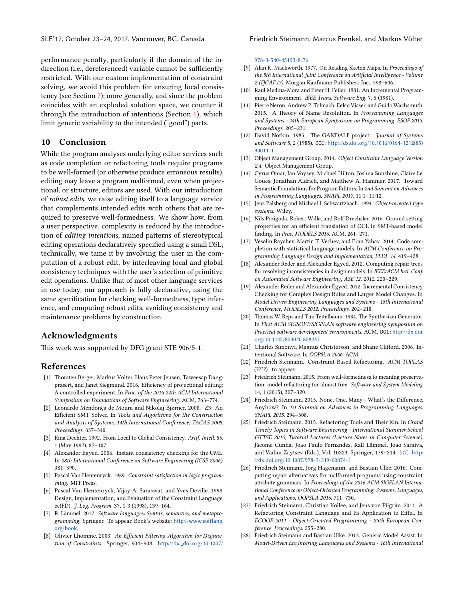performance penalty, particularly if the domain of the indirection (i.e., dereferenced) variable cannot be sufficiently restricted. With our custom implementation of constraint solving, we avoid this problem for ensuring local consistency (see Section [7\)](#page-7-0); more generally, and since the problem coincides with an exploded solution space, we counter it through the introduction of intentions (Section  $\epsilon$ ), which limit generic variability to the intended ("good") parts.

# 10 Conclusion

While the program analyses underlying editor services such as code completion or refactoring tools require programs to be well-formed (or otherwise produce erroneous results), editing may leave a program malformed, even when projectional, or structure, editors are used. With our introduction of robust edits, we raise editing itself to a language service that complements intended edits with others that are required to preserve well-formedness. We show how, from a user perspective, complexity is reduced by the introduction of *editing intentions*, named patterns of stereotypical editing operations declaratively specified using a small DSL; technically, we tame it by involving the user in the computation of a robust edit, by interleaving local and global consistency techniques with the user's selection of primitive edit operations. Unlike that of most other language services in use today, our approach is fully declarative, using the same specification for checking well-formedness, type inference, and computing robust edits, avoiding consistency and maintenance problems by construction.

## Acknowledgments

This work was supported by DFG grant STE 906/5-1.

## References

- <span id="page-11-0"></span>[1] Thorsten Berger, Markus Völter, Hans Peter Jensen, Taweesap Dangprasert, and Janet Siegmund. 2016. Efficiency of projectional editing: A controlled experiment. In Proc. of the 2016 24th ACM International Symposium on Foundations of Software Engineering. ACM, 763-774.
- <span id="page-11-21"></span>[2] Leonardo Mendonça de Moura and Nikolaj Bjørner. 2008. Z3: An Efficient SMT Solver. In Tools and Algorithms for the Construction and Analysis of Systems, 14th International Conference, TACAS 2008. Proceedings. 337–340.
- <span id="page-11-8"></span>[3] Rina Dechter. 1992. From Local to Global Consistency. Artif. Intell. 55, 1 (May 1992), 87–107.
- <span id="page-11-12"></span>[4] Alexander Egyed. 2006. Instant consistency checking for the UML. In 28th International Conference on Software Engineering (ICSE 2006). 381–390.
- <span id="page-11-20"></span>[5] Pascal Van Hentenryck. 1989. Constraint satisfaction in logic programming. MIT Press.
- <span id="page-11-10"></span>[6] Pascal Van Hentenryck, Vijay A. Saraswat, and Yves Deville. 1998. Design, Implementation, and Evaluation of the Constraint Language cc(FD). J. Log. Program. 37, 1-3 (1998), 139–164.
- <span id="page-11-5"></span>[7] R. Lämmel. 2017. Software languages: Syntax, semantics, and metaprogramming. Springer. To appear. Book's website: http://www.softlang. [org/book](http://www.softlang.org/book).
- <span id="page-11-11"></span>[8] Olivier Lhomme. 2003. An Efficient Filtering Algorithm for Disjunction of Constraints. Springer, 904-908. http://dx.\_[doi.org/10.1007/](http://dx._doi.org/10.1007/978-3-540-45193-8_76)

#### SLE'17, October 23–24, 2017, Vancouver, BC, Canada Friedrich Steimann, Marcus Frenkel, and Markus Völter

[978-3-540-45193-8](http://dx._doi.org/10.1007/978-3-540-45193-8_76) 76

- <span id="page-11-9"></span>[9] Alan K. Mackworth. 1977. On Reading Sketch Maps. In Proceedings of the 5th International Joint Conference on Artificial Intelligence - Volume 2 (IJCAI'77). Morgan Kaufmann Publishers Inc., 598–606.
- [10] Raul Medina-Mora and Peter H. Feiler. 1981. An Incremental Programming Environment. IEEE Trans. Software Eng. 7, 5 (1981).
- <span id="page-11-17"></span>[11] Pierre Neron, Andrew P. Tolmach, Eelco Visser, and Guido Wachsmuth. 2015. A Theory of Name Resolution. In Programming Languages and Systems - 24th European Symposium on Programming, ESOP 2015. Proceedings. 205–231.
- [12] David Notkin. 1985. The GANDALF project. Journal of Systems and Software 5, 2 (1985). DOI: http://dx.doi.org/10.1016/0164-1212(85) [90011-1](http://dx.doi.org/10.1016/0164-1212(85)90011-1)
- <span id="page-11-7"></span>[13] Object Management Group. 2014. Object Constraint Language Version 2.4. Object Management Group.
- <span id="page-11-1"></span>[14] Cyrus Omar, Ian Voysey, Michael Hilton, Joshua Sunshine, Claire Le Goues, Jonathan Aldrich, and Matthew A. Hammer. 2017. Toward Semantic Foundations for Program Editors. In 2nd Summit on Advances in Programming Languages, SNAPL 2017. 11:1–11:12.
- <span id="page-11-18"></span>[15] Jens Palsberg and Michael I. Schwartzbach. 1994. Object-oriented type systems. Wiley.
- <span id="page-11-22"></span>[16] Nils Przigoda, Robert Wille, and Rolf Drechsler. 2016. Ground setting properties for an efficient translation of OCL in SMT-based model finding. In Proc. MODELS 2016. ACM, 261-271.
- <span id="page-11-16"></span>[17] Veselin Raychev, Martin T. Vechev, and Eran Yahav. 2014. Code completion with statistical language models. In ACM Conference on Programming Language Design and Implementation, PLDI '14. 419–428.
- <span id="page-11-13"></span>[18] Alexander Reder and Alexander Egyed. 2012. Computing repair trees for resolving inconsistencies in design models. In IEEE/ACM Intl. Conf. on Automated Software Engineering, ASE'12, 2012. 220-229.
- <span id="page-11-14"></span>[19] Alexander Reder and Alexander Egyed. 2012. Incremental Consistency Checking for Complex Design Rules and Larger Model Changes. In Model Driven Engineering Languages and Systems - 15th International Conference, MODELS 2012. Proceedings. 202–218.
- [20] Thomas W. Reps and Tim Teitelbaum. 1984. The Synthesizer Generator. In First ACM SIGSOFT/SIGPLAN software engineering symposium on Practical software development environments. ACM. DOI: http://dx.doi. [org/10.1145/800020.808247](http://dx.doi.org/10.1145/800020.808247)
- [21] Charles Simonyi, Magnus Christerson, and Shane Clifford. 2006. Intentional Software. In OOPSLA 2006. ACM.
- <span id="page-11-2"></span>[22] Friedrich Steimann. Constraint-Based Refactoring. ACM TOPLAS  $(????)$ . to appear.
- <span id="page-11-19"></span>[23] Friedrich Steimann. 2015. From well-formedness to meaning preservation: model refactoring for almost free. Software and System Modeling 14, 1 (2015), 307–320.
- <span id="page-11-6"></span>[24] Friedrich Steimann. 2015. None, One, Many - What's the Difference, Anyhow?. In 1st Summit on Advances in Programming Languages, SNAPL 2015. 294–308.
- <span id="page-11-4"></span>[25] Friedrich Steimann. 2015. Refactoring Tools and Their Kin. In Grand Timely Topics in Software Engineering - International Summer School GTTSE 2015, Tutorial Lectures (Lecture Notes in Computer Science), Jácome Cunha, João Paulo Fernandes, Ralf Lämmel, João Saraiva, and Vadim Zaytsev (Eds.), Vol. 10223. Springer, 179-214. DOI: http: [//dx.doi.org/10.1007/978-3-319-60074-1](http://dx.doi.org/10.1007/978-3-319-60074-1)
- <span id="page-11-3"></span>[26] Friedrich Steimann, Jörg Hagemann, and Bastian Ulke. 2016. Computing repair alternatives for malformed programs using constraint attribute grammars. In Proceedings of the 2016 ACM SIGPLAN International Conference on Object-Oriented Programming, Systems, Languages, and Applications, OOPSLA 2016. 711–730.
- <span id="page-11-15"></span>[27] Friedrich Steimann, Christian Kollee, and Jens von Pilgrim. 2011. A Refactoring Constraint Language and Its Application to Eiffel. In ECOOP 2011 - Object-Oriented Programming - 25th European Conference. Proceedings. 255–280.
- [28] Friedrich Steimann and Bastian Ulke. 2013. Generic Model Assist. In Model-Driven Engineering Languages and Systems - 16th International